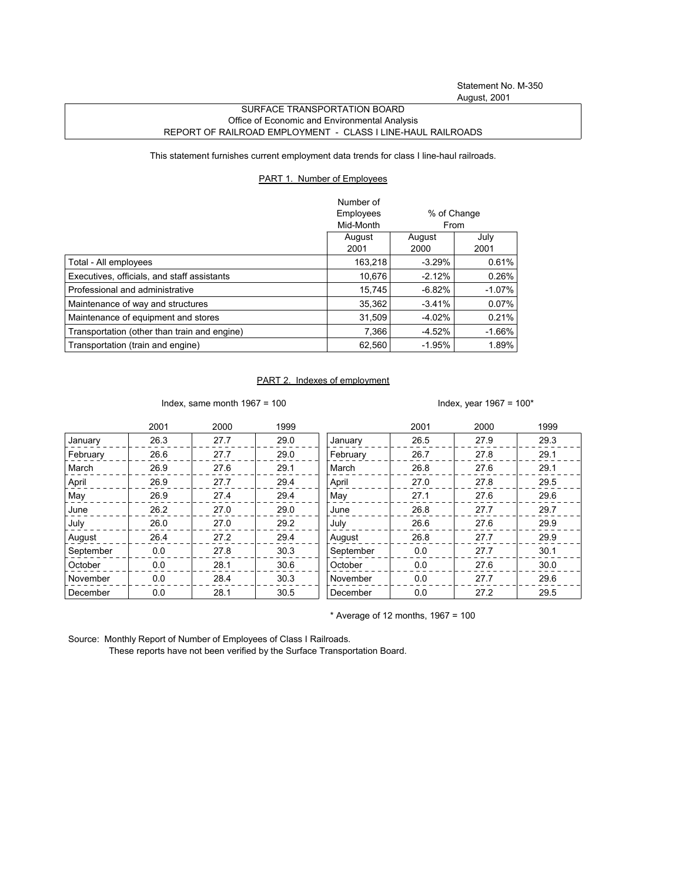## SURFACE TRANSPORTATION BOARD Office of Economic and Environmental Analysis REPORT OF RAILROAD EMPLOYMENT - CLASS I LINE-HAUL RAILROADS

This statement furnishes current employment data trends for class I line-haul railroads.

## PART 1. Number of Employees

|                                              | Number of<br>Employees | % of Change            |          |  |
|----------------------------------------------|------------------------|------------------------|----------|--|
|                                              | Mid-Month              | From<br>July<br>August |          |  |
|                                              | August                 |                        |          |  |
|                                              | 2001                   | 2000                   | 2001     |  |
| Total - All employees                        | 163,218                | $-3.29%$               | 0.61%    |  |
| Executives, officials, and staff assistants  | 10,676                 | $-2.12%$               | 0.26%    |  |
| Professional and administrative              | 15.745                 | $-6.82%$               | $-1.07%$ |  |
| Maintenance of way and structures            | 35,362                 | $-3.41%$               | 0.07%    |  |
| Maintenance of equipment and stores          | 31.509                 | $-4.02%$               | 0.21%    |  |
| Transportation (other than train and engine) | 7,366                  | $-4.52%$               | $-1.66%$ |  |
| Transportation (train and engine)            | 62.560                 | $-1.95%$               | 1.89%    |  |

## PART 2. Indexes of employment

Index, same month 1967 = 100  $\blacksquare$ 

|           | 2001 | 2000 | 1999 |           | 2001 | 2000 | 1999 |
|-----------|------|------|------|-----------|------|------|------|
| January   | 26.3 | 27.7 | 29.0 | January   | 26.5 | 27.9 | 29.3 |
| February  | 26.6 | 27.7 | 29.0 | February  | 26.7 | 27.8 | 29.1 |
| March     | 26.9 | 27.6 | 29.1 | March     | 26.8 | 27.6 | 29.1 |
| April     | 26.9 | 27.7 | 29.4 | April     | 27.0 | 27.8 | 29.5 |
| May       | 26.9 | 27.4 | 29.4 | May       | 27.1 | 27.6 | 29.6 |
| June      | 26.2 | 27.0 | 29.0 | June      | 26.8 | 27.7 | 29.7 |
| July      | 26.0 | 27.0 | 29.2 | July      | 26.6 | 27.6 | 29.9 |
| August    | 26.4 | 27.2 | 29.4 | August    | 26.8 | 27.7 | 29.9 |
| September | 0.0  | 27.8 | 30.3 | September | 0.0  | 27.7 | 30.1 |
| October   | 0.0  | 28.1 | 30.6 | October   | 0.0  | 27.6 | 30.0 |
| November  | 0.0  | 28.4 | 30.3 | November  | 0.0  | 27.7 | 29.6 |
| December  | 0.0  | 28.1 | 30.5 | December  | 0.0  | 27.2 | 29.5 |

 $*$  Average of 12 months, 1967 = 100

Source: Monthly Report of Number of Employees of Class I Railroads.

These reports have not been verified by the Surface Transportation Board.